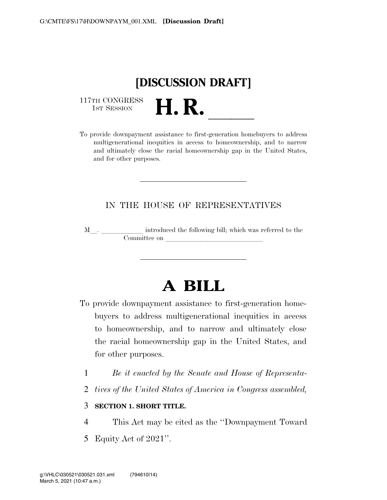

117TH CONGRESS<br>1st Session

117TH CONGRESS<br>1st SESSION **H. R.** <u>International Proprovide</u> downpayment assistance to first-generation homebuyers to address multigenerational inequities in access to homeownership, and to narrow and ultimately close the racial homeownership gap in the United States, and for other purposes.

## IN THE HOUSE OF REPRESENTATIVES

M<sub>\_\_\_</sub>. \_\_\_\_\_\_\_\_\_\_\_\_\_ introduced the following bill; which was referred to the Committee on  $\_\_$ 

# **A BILL**

- To provide downpayment assistance to first-generation homebuyers to address multigenerational inequities in access to homeownership, and to narrow and ultimately close the racial homeownership gap in the United States, and for other purposes.
	- 1 *Be it enacted by the Senate and House of Representa-*
	- 2 *tives of the United States of America in Congress assembled,*

#### 3 **SECTION 1. SHORT TITLE.**

- 4 This Act may be cited as the ''Downpayment Toward
- 5 Equity Act of 2021''.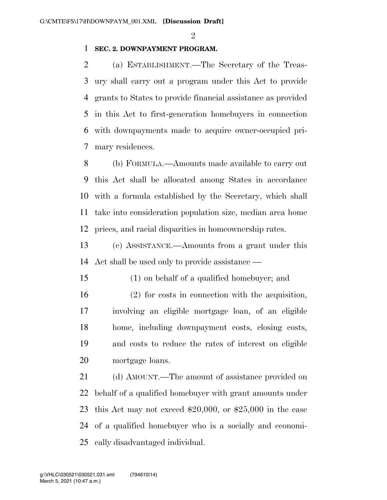$\mathfrak{D}$ 

### **SEC. 2. DOWNPAYMENT PROGRAM.**

 (a) ESTABLISHMENT.—The Secretary of the Treas- ury shall carry out a program under this Act to provide grants to States to provide financial assistance as provided in this Act to first-generation homebuyers in connection with downpayments made to acquire owner-occupied pri-mary residences.

 (b) FORMULA.—Amounts made available to carry out this Act shall be allocated among States in accordance with a formula established by the Secretary, which shall take into consideration population size, median area home prices, and racial disparities in homeownership rates.

 (c) ASSISTANCE.—Amounts from a grant under this Act shall be used only to provide assistance —

(1) on behalf of a qualified homebuyer; and

 (2) for costs in connection with the acquisition, involving an eligible mortgage loan, of an eligible home, including downpayment costs, closing costs, and costs to reduce the rates of interest on eligible mortgage loans.

21 (d) AMOUNT.—The amount of assistance provided on behalf of a qualified homebuyer with grant amounts under this Act may not exceed \$20,000, or \$25,000 in the case of a qualified homebuyer who is a socially and economi-cally disadvantaged individual.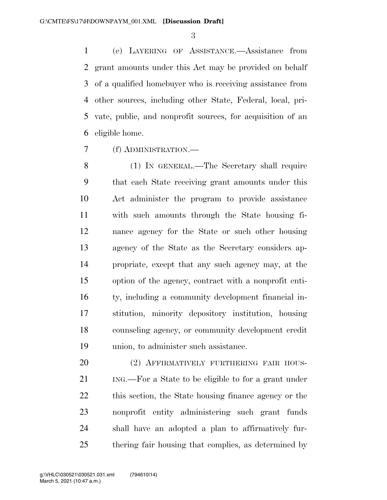(e) LAYERING OF ASSISTANCE.—Assistance from grant amounts under this Act may be provided on behalf of a qualified homebuyer who is receiving assistance from other sources, including other State, Federal, local, pri- vate, public, and nonprofit sources, for acquisition of an eligible home.

(f) ADMINISTRATION.—

 (1) IN GENERAL.—The Secretary shall require that each State receiving grant amounts under this Act administer the program to provide assistance with such amounts through the State housing fi- nance agency for the State or such other housing agency of the State as the Secretary considers ap- propriate, except that any such agency may, at the option of the agency, contract with a nonprofit enti- ty, including a community development financial in- stitution, minority depository institution, housing counseling agency, or community development credit union, to administer such assistance.

20 (2) AFFIRMATIVELY FURTHERING FAIR HOUS- ING.—For a State to be eligible to for a grant under this section, the State housing finance agency or the nonprofit entity administering such grant funds shall have an adopted a plan to affirmatively fur-thering fair housing that complies, as determined by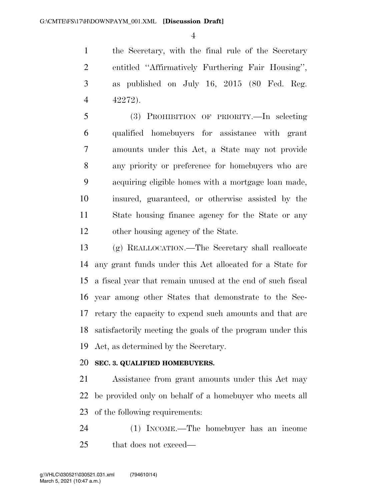the Secretary, with the final rule of the Secretary entitled ''Affirmatively Furthering Fair Housing'', as published on July 16, 2015 (80 Fed. Reg. 42272).

 (3) PROHIBITION OF PRIORITY.—In selecting qualified homebuyers for assistance with grant amounts under this Act, a State may not provide any priority or preference for homebuyers who are acquiring eligible homes with a mortgage loan made, insured, guaranteed, or otherwise assisted by the State housing finance agency for the State or any other housing agency of the State.

 (g) REALLOCATION.—The Secretary shall reallocate any grant funds under this Act allocated for a State for a fiscal year that remain unused at the end of such fiscal year among other States that demonstrate to the Sec- retary the capacity to expend such amounts and that are satisfactorily meeting the goals of the program under this Act, as determined by the Secretary.

## **SEC. 3. QUALIFIED HOMEBUYERS.**

 Assistance from grant amounts under this Act may be provided only on behalf of a homebuyer who meets all of the following requirements:

 (1) INCOME.—The homebuyer has an income that does not exceed—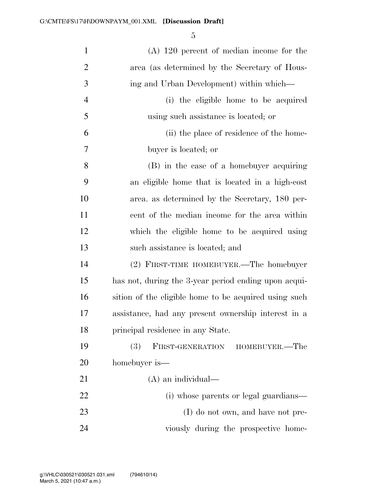| $\mathbf{1}$   | $(A)$ 120 percent of median income for the            |
|----------------|-------------------------------------------------------|
| $\overline{2}$ | area (as determined by the Secretary of Hous-         |
| 3              | ing and Urban Development) within which—              |
| $\overline{4}$ | (i) the eligible home to be acquired                  |
| 5              | using such assistance is located; or                  |
| 6              | (ii) the place of residence of the home-              |
| 7              | buyer is located; or                                  |
| 8              | (B) in the case of a homebuyer acquiring              |
| 9              | an eligible home that is located in a high-cost       |
| 10             | area. as determined by the Secretary, 180 per-        |
| 11             | cent of the median income for the area within         |
| 12             | which the eligible home to be acquired using          |
| 13             | such assistance is located; and                       |
| 14             | (2) FIRST-TIME HOMEBUYER.—The homebuyer               |
| 15             | has not, during the 3-year period ending upon acqui-  |
| 16             | sition of the eligible home to be acquired using such |
| 17             | assistance, had any present ownership interest in a   |
| 18             | principal residence in any State.                     |
| 19             | (3)<br>FIRST-GENERATION<br>HOMEBUYER.—The             |
| 20             | homebuyer is—                                         |
| 21             | $(A)$ an individual—                                  |
| 22             | (i) whose parents or legal guardians—                 |
| 23             | (I) do not own, and have not pre-                     |
| 24             | viously during the prospective home-                  |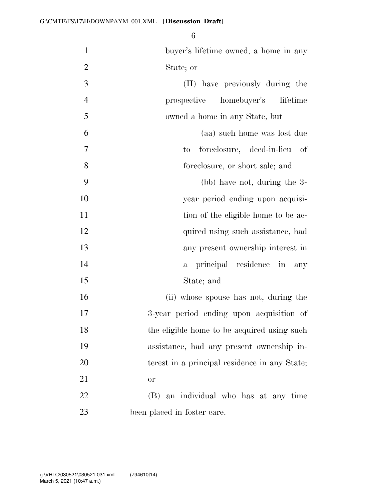| $\mathbf{1}$   | buyer's lifetime owned, a home in any         |
|----------------|-----------------------------------------------|
| $\overline{2}$ | State; or                                     |
| 3              | (II) have previously during the               |
| $\overline{4}$ | prospective homebuyer's<br>lifetime           |
| 5              | owned a home in any State, but—               |
| 6              | (aa) such home was lost due                   |
| $\tau$         | foreclosure, deed-in-lieu of<br>to            |
| 8              | foreclosure, or short sale; and               |
| 9              | (bb) have not, during the 3-                  |
| 10             | year period ending upon acquisi-              |
| 11             | tion of the eligible home to be ac-           |
| 12             | quired using such assistance, had             |
| 13             | any present ownership interest in             |
| 14             | a principal residence in<br>any               |
| 15             | State; and                                    |
| 16             | (ii) whose spouse has not, during the         |
| 17             | 3-year period ending upon acquisition of      |
| 18             | the eligible home to be acquired using such   |
| 19             | assistance, had any present ownership in-     |
| 20             | terest in a principal residence in any State; |
| 21             | <b>or</b>                                     |
| 22             | (B) an individual who has at any time         |
| 23             | been placed in foster care.                   |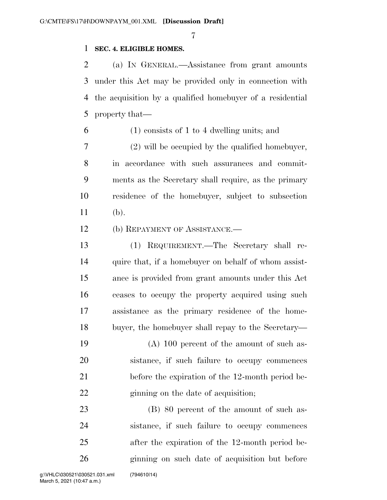#### **SEC. 4. ELIGIBLE HOMES.**

 (a) IN GENERAL.—Assistance from grant amounts under this Act may be provided only in connection with the acquisition by a qualified homebuyer of a residential property that—

(1) consists of 1 to 4 dwelling units; and

 (2) will be occupied by the qualified homebuyer, in accordance with such assurances and commit- ments as the Secretary shall require, as the primary residence of the homebuyer, subject to subsection (b).

(b) REPAYMENT OF ASSISTANCE.—

 (1) REQUIREMENT.—The Secretary shall re-14 quire that, if a homebuyer on behalf of whom assist- ance is provided from grant amounts under this Act ceases to occupy the property acquired using such assistance as the primary residence of the home-buyer, the homebuyer shall repay to the Secretary—

 (A) 100 percent of the amount of such as- sistance, if such failure to occupy commences before the expiration of the 12-month period be-22 ginning on the date of acquisition;

23 (B) 80 percent of the amount of such as- sistance, if such failure to occupy commences after the expiration of the 12-month period be-ginning on such date of acquisition but before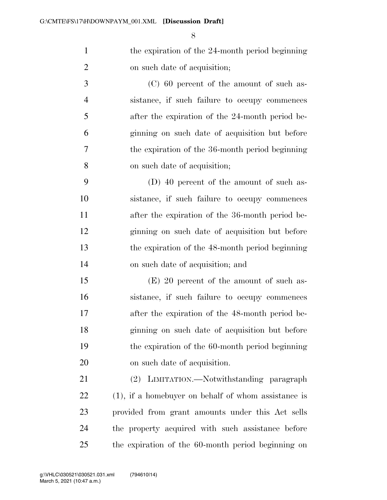1 the expiration of the 24-month period beginning on such date of acquisition;

 (C) 60 percent of the amount of such as- sistance, if such failure to occupy commences after the expiration of the 24-month period be- ginning on such date of acquisition but before the expiration of the 36-month period beginning on such date of acquisition;

 (D) 40 percent of the amount of such as- sistance, if such failure to occupy commences after the expiration of the 36-month period be- ginning on such date of acquisition but before the expiration of the 48-month period beginning on such date of acquisition; and

 (E) 20 percent of the amount of such as- sistance, if such failure to occupy commences after the expiration of the 48-month period be- ginning on such date of acquisition but before the expiration of the 60-month period beginning on such date of acquisition.

 (2) LIMITATION.—Notwithstanding paragraph (1), if a homebuyer on behalf of whom assistance is provided from grant amounts under this Act sells the property acquired with such assistance before the expiration of the 60-month period beginning on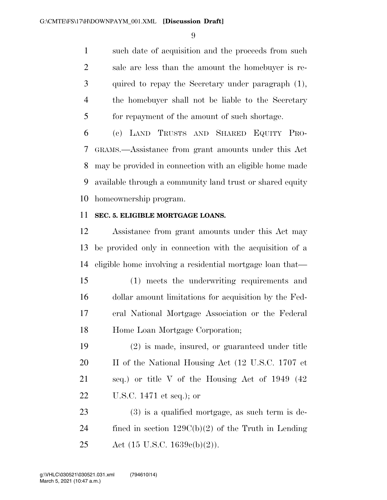such date of acquisition and the proceeds from such sale are less than the amount the homebuyer is re- quired to repay the Secretary under paragraph (1), the homebuyer shall not be liable to the Secretary for repayment of the amount of such shortage.

 (c) LAND TRUSTS AND SHARED EQUITY PRO- GRAMS.—Assistance from grant amounts under this Act may be provided in connection with an eligible home made available through a community land trust or shared equity homeownership program.

#### **SEC. 5. ELIGIBLE MORTGAGE LOANS.**

 Assistance from grant amounts under this Act may be provided only in connection with the acquisition of a eligible home involving a residential mortgage loan that—

 (1) meets the underwriting requirements and dollar amount limitations for acquisition by the Fed- eral National Mortgage Association or the Federal Home Loan Mortgage Corporation;

 (2) is made, insured, or guaranteed under title 20 II of the National Housing Act (12 U.S.C. 1707 et seq.) or title V of the Housing Act of 1949 (42 U.S.C. 1471 et seq.); or

 (3) is a qualified mortgage, as such term is de-24 fined in section  $129C(b)(2)$  of the Truth in Lending Act (15 U.S.C. 1639c(b)(2)).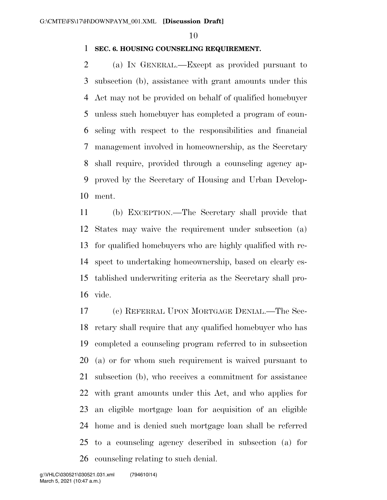#### **SEC. 6. HOUSING COUNSELING REQUIREMENT.**

 (a) IN GENERAL.—Except as provided pursuant to subsection (b), assistance with grant amounts under this Act may not be provided on behalf of qualified homebuyer unless such homebuyer has completed a program of coun- seling with respect to the responsibilities and financial management involved in homeownership, as the Secretary shall require, provided through a counseling agency ap- proved by the Secretary of Housing and Urban Develop-ment.

 (b) EXCEPTION.—The Secretary shall provide that States may waive the requirement under subsection (a) for qualified homebuyers who are highly qualified with re- spect to undertaking homeownership, based on clearly es- tablished underwriting criteria as the Secretary shall pro-vide.

 (c) REFERRAL UPON MORTGAGE DENIAL.—The Sec- retary shall require that any qualified homebuyer who has completed a counseling program referred to in subsection (a) or for whom such requirement is waived pursuant to subsection (b), who receives a commitment for assistance with grant amounts under this Act, and who applies for an eligible mortgage loan for acquisition of an eligible home and is denied such mortgage loan shall be referred to a counseling agency described in subsection (a) for counseling relating to such denial.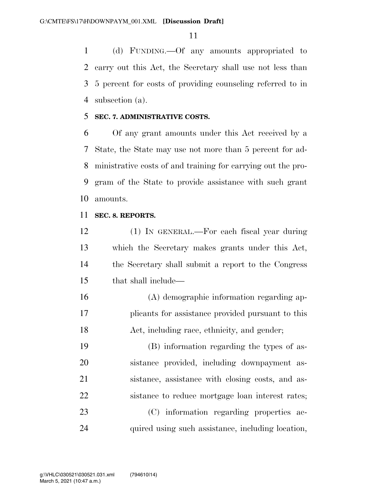(d) FUNDING.—Of any amounts appropriated to carry out this Act, the Secretary shall use not less than 5 percent for costs of providing counseling referred to in subsection (a).

#### **SEC. 7. ADMINISTRATIVE COSTS.**

 Of any grant amounts under this Act received by a State, the State may use not more than 5 percent for ad- ministrative costs of and training for carrying out the pro- gram of the State to provide assistance with such grant amounts.

#### **SEC. 8. REPORTS.**

 (1) IN GENERAL.—For each fiscal year during which the Secretary makes grants under this Act, the Secretary shall submit a report to the Congress that shall include—

 (A) demographic information regarding ap- plicants for assistance provided pursuant to this Act, including race, ethnicity, and gender;

 (B) information regarding the types of as- sistance provided, including downpayment as- sistance, assistance with closing costs, and as- sistance to reduce mortgage loan interest rates; (C) information regarding properties ac-quired using such assistance, including location,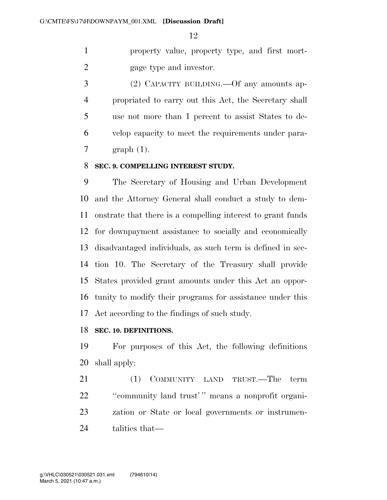property value, property type, and first mort-gage type and investor.

 (2) CAPACITY BUILDING.—Of any amounts ap- propriated to carry out this Act, the Secretary shall use not more than 1 percent to assist States to de- velop capacity to meet the requirements under para-graph (1).

#### **SEC. 9. COMPELLING INTEREST STUDY.**

 The Secretary of Housing and Urban Development and the Attorney General shall conduct a study to dem- onstrate that there is a compelling interest to grant funds for downpayment assistance to socially and economically disadvantaged individuals, as such term is defined in sec- tion 10. The Secretary of the Treasury shall provide States provided grant amounts under this Act an oppor- tunity to modify their programs for assistance under this Act according to the findings of such study.

#### **SEC. 10. DEFINITIONS.**

 For purposes of this Act, the following definitions shall apply:

21 (1) COMMUNITY LAND TRUST.—The term ''community land trust' '' means a nonprofit organi- zation or State or local governments or instrumen-talities that—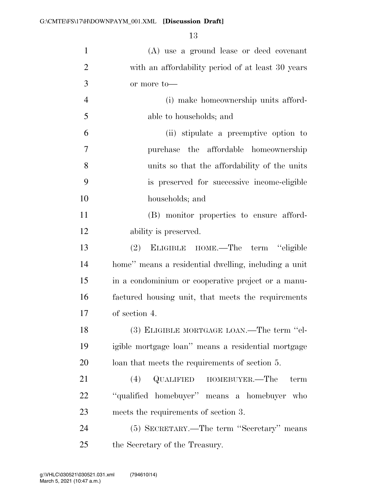| $\mathbf{1}$   | (A) use a ground lease or deed covenant              |
|----------------|------------------------------------------------------|
| $\overline{2}$ | with an affordability period of at least 30 years    |
| 3              | or more to-                                          |
| $\overline{4}$ | (i) make homeownership units afford-                 |
| 5              | able to households; and                              |
| 6              | (ii) stipulate a preemptive option to                |
| 7              | purchase the affordable homeownership                |
| 8              | units so that the affordability of the units         |
| 9              | is preserved for successive income-eligible          |
| 10             | households; and                                      |
| 11             | (B) monitor properties to ensure afford-             |
| 12             | ability is preserved.                                |
| 13             | ELIGIBLE HOME.—The term "eligible<br>(2)             |
| 14             | home" means a residential dwelling, including a unit |
| 15             | in a condominium or cooperative project or a manu-   |
| 16             | factured housing unit, that meets the requirements   |
| 17             | of section 4.                                        |
| 18             | (3) ELIGIBLE MORTGAGE LOAN.—The term "el-            |
| 19             | igible mortgage loan" means a residential mortgage   |
| 20             | loan that meets the requirements of section 5.       |
| 21             | QUALIFIED<br>HOMEBUYER.—The<br>(4)<br>term           |
| 22             | "qualified homebuyer" means a homebuyer who          |
| 23             | meets the requirements of section 3.                 |
| 24             | (5) SECRETARY.—The term "Secretary" means            |
| 25             | the Secretary of the Treasury.                       |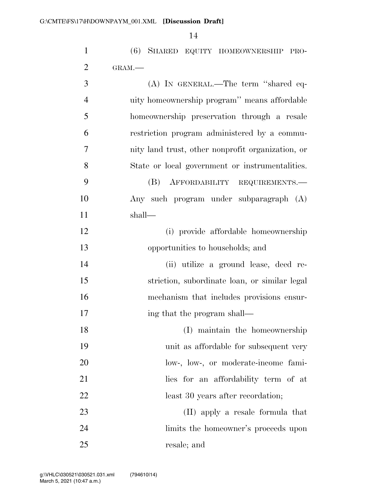| $\mathbf{1}$   | (6) SHARED EQUITY HOMEOWNERSHIP PRO-              |
|----------------|---------------------------------------------------|
| $\overline{2}$ | GRAM.                                             |
| 3              | (A) IN GENERAL.—The term "shared eq-              |
| $\overline{4}$ | uity homeownership program" means affordable      |
| 5              | homeownership preservation through a resale       |
| 6              | restriction program administered by a commu-      |
| 7              | nity land trust, other nonprofit organization, or |
| 8              | State or local government or instrumentalities.   |
| 9              | (B)<br>AFFORDABILITY REQUIREMENTS.                |
| 10             | Any such program under subparagraph (A)           |
| 11             | shall—                                            |
| 12             | (i) provide affordable homeownership              |
| 13             | opportunities to households; and                  |
| 14             | (ii) utilize a ground lease, deed re-             |
| 15             | striction, subordinate loan, or similar legal     |
| 16             | mechanism that includes provisions ensur-         |
| 17             | ing that the program shall—                       |
| 18             | (I) maintain the homeownership                    |
| 19             | unit as affordable for subsequent very            |
| 20             | low-, low-, or moderate-income fami-              |
| 21             | lies for an affordability term of at              |
| 22             | least 30 years after recordation;                 |
| 23             | (II) apply a resale formula that                  |
| 24             | limits the homeowner's proceeds upon              |
| 25             | resale; and                                       |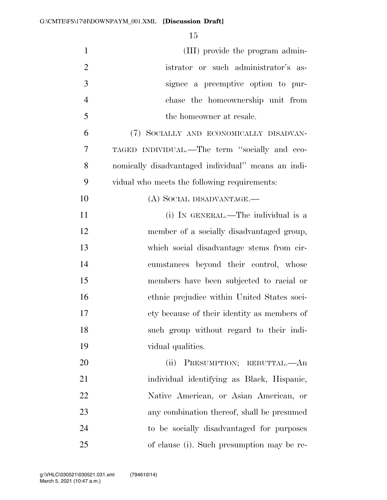| $\mathbf{1}$   | (III) provide the program admin-                   |
|----------------|----------------------------------------------------|
| $\overline{2}$ | istrator or such administrator's as-               |
| 3              | signee a preemptive option to pur-                 |
| $\overline{4}$ | chase the homeownership unit from                  |
| 5              | the homeowner at resale.                           |
| 6              | (7) SOCIALLY AND ECONOMICALLY DISADVAN-            |
| 7              | TAGED INDIVIDUAL.—The term "socially and eco-      |
| 8              | nomically disadvantaged individual" means an indi- |
| 9              | vidual who meets the following requirements:       |
| 10             | (A) SOCIAL DISADVANTAGE.—                          |
| 11             | (i) IN GENERAL.—The individual is a                |
| 12             | member of a socially disadvantaged group,          |
| 13             | which social disadvantage stems from cir-          |
| 14             | cumstances beyond their control, whose             |
| 15             | members have been subjected to racial or           |
| 16             | ethnic prejudice within United States soci-        |
| 17             | ety because of their identity as members of        |
| 18             | such group without regard to their indi-           |
| 19             | vidual qualities.                                  |
| 20             | PRESUMPTION; REBUTTAL.—An<br>(ii)                  |
| 21             | individual identifying as Black, Hispanic,         |
| 22             | Native American, or Asian American, or             |
| 23             | any combination thereof, shall be presumed         |
| 24             | to be socially disadvantaged for purposes          |
| 25             | of clause (i). Such presumption may be re-         |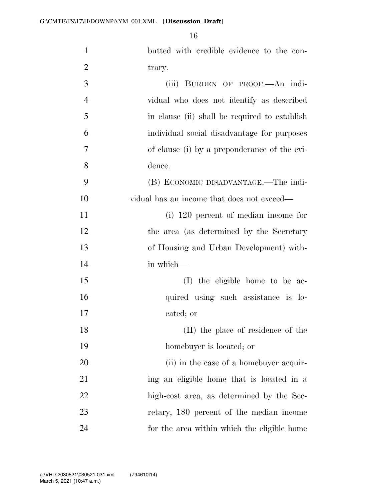| $\mathbf{1}$   | butted with credible evidence to the con-     |
|----------------|-----------------------------------------------|
| $\overline{2}$ | trary.                                        |
| 3              | (iii) BURDEN OF PROOF.—An indi-               |
| $\overline{4}$ | vidual who does not identify as described     |
| 5              | in clause (ii) shall be required to establish |
| 6              | individual social disadvantage for purposes   |
| $\overline{7}$ | of clause (i) by a preponderance of the evi-  |
| 8              | dence.                                        |
| 9              | (B) ECONOMIC DISADVANTAGE.—The indi-          |
| 10             | vidual has an income that does not exceed—    |
| 11             | $(i)$ 120 percent of median income for        |
| 12             | the area (as determined by the Secretary      |
| 13             | of Housing and Urban Development) with-       |
| 14             | in which-                                     |
| 15             | (I) the eligible home to be ac-               |
| 16             | quired using such assistance is lo-           |
| 17             | cated; or                                     |
| 18             | (II) the place of residence of the            |
| 19             | homebuyer is located; or                      |
| 20             | (ii) in the case of a homebuyer acquir-       |
| 21             | ing an eligible home that is located in a     |
| 22             | high-cost area, as determined by the Sec-     |
| 23             | retary, 180 percent of the median income      |
| 24             | for the area within which the eligible home   |